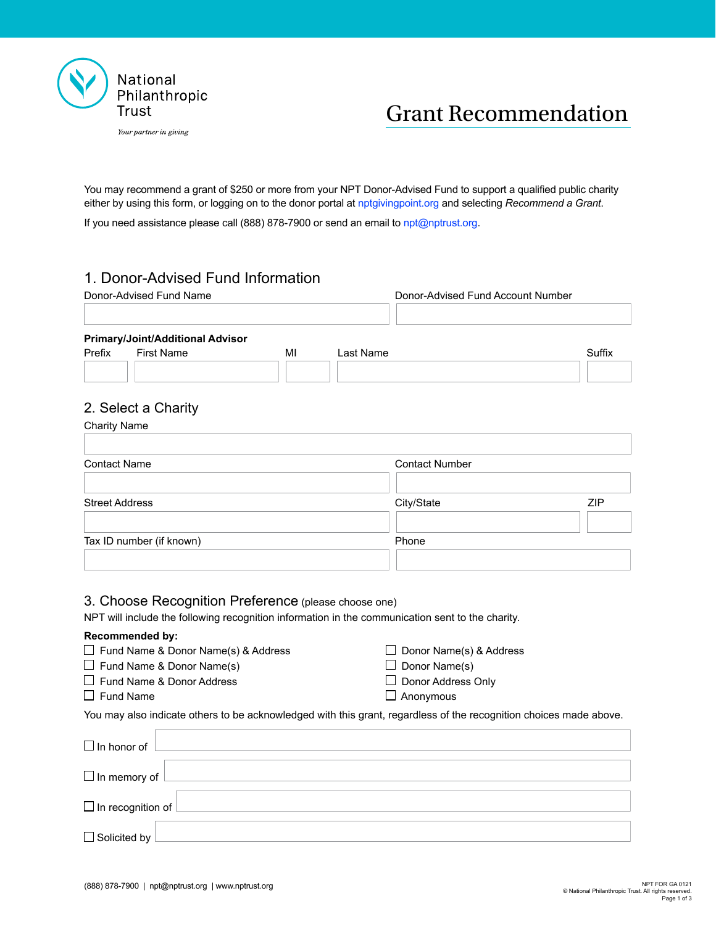



# Grant Recommendation

You may recommend a grant of \$250 or more from your NPT Donor-Advised Fund to support a qualified public charity either by using this form, or logging on to the donor portal at [nptgivingpoint.org](http://nptgivingpoint.org) and selecting *Recommend a Grant*.

If you need assistance please call (888) 878-7900 or send an email to [npt@nptrust.org](mailto:npt%40nptrust.org?subject=).

## 1. Donor-Advised Fund Information

| Donor-Advised Fund Name                                                                                                                                  |                                | Donor-Advised Fund Account Number |  |
|----------------------------------------------------------------------------------------------------------------------------------------------------------|--------------------------------|-----------------------------------|--|
|                                                                                                                                                          |                                |                                   |  |
| Primary/Joint/Additional Advisor                                                                                                                         |                                |                                   |  |
| Prefix<br><b>First Name</b><br>MI                                                                                                                        | Last Name                      | Suffix                            |  |
|                                                                                                                                                          |                                |                                   |  |
| 2. Select a Charity                                                                                                                                      |                                |                                   |  |
| <b>Charity Name</b>                                                                                                                                      |                                |                                   |  |
| <b>Contact Name</b>                                                                                                                                      | <b>Contact Number</b>          |                                   |  |
|                                                                                                                                                          |                                |                                   |  |
| <b>Street Address</b>                                                                                                                                    | City/State                     | <b>ZIP</b>                        |  |
| Tax ID number (if known)                                                                                                                                 | Phone                          |                                   |  |
|                                                                                                                                                          |                                |                                   |  |
| 3. Choose Recognition Preference (please choose one)<br>NPT will include the following recognition information in the communication sent to the charity. |                                |                                   |  |
| Recommended by:                                                                                                                                          |                                |                                   |  |
| $\Box$ Fund Name & Donor Name(s) & Address                                                                                                               | $\Box$ Donor Name(s) & Address |                                   |  |
| $\Box$ Fund Name & Donor Name(s)                                                                                                                         | $\Box$ Donor Name(s)           |                                   |  |
| $\Box$ Fund Name & Donor Address                                                                                                                         | $\Box$ Donor Address Only      |                                   |  |
| $\Box$ Fund Name                                                                                                                                         | $\Box$ Anonymous               |                                   |  |
| You may also indicate others to be acknowledged with this grant, regardless of the recognition choices made above.                                       |                                |                                   |  |
| $\Box$ In honor of                                                                                                                                       |                                |                                   |  |
| $\Box$ In memory of                                                                                                                                      |                                |                                   |  |
| $\Box$ In recognition of                                                                                                                                 |                                |                                   |  |
| $\Box$ Solicited by                                                                                                                                      |                                |                                   |  |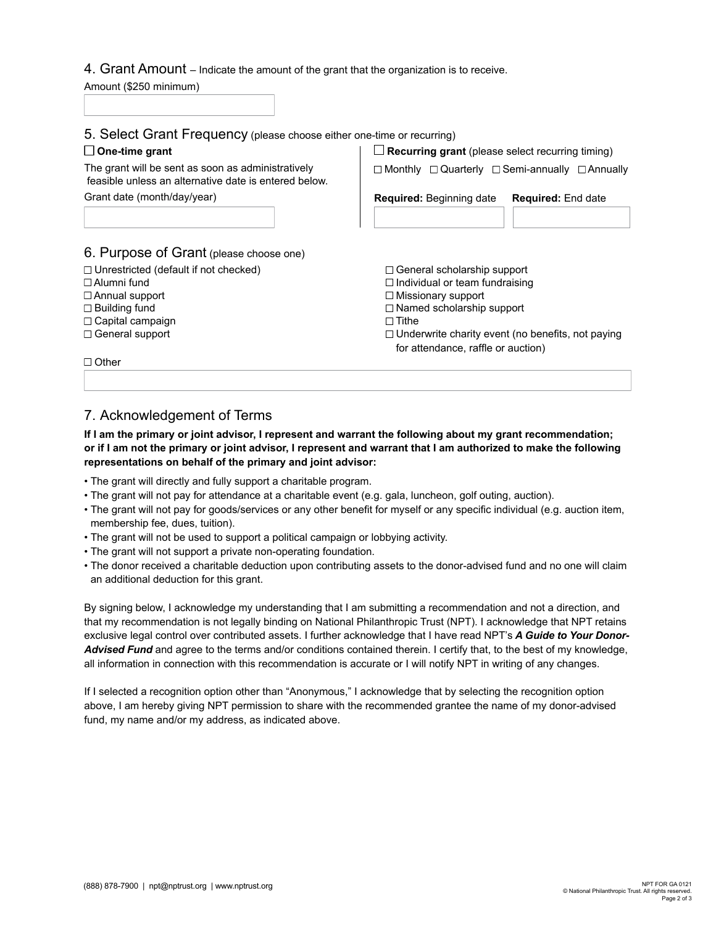#### 4. Grant Amount – Indicate the amount of the grant that the organization is to receive.

Amount (\$250 minimum)

| Grant date (month/day/year)<br><b>Required:</b> Beginning date<br>6. Purpose of Grant (please choose one)<br>$\Box$ Unrestricted (default if not checked)<br>$\Box$ Alumni fund<br>$\Box$ Missionary support<br>$\Box$ Annual support | <b>Required:</b> End date                                                                                                                                                                                         |  |
|---------------------------------------------------------------------------------------------------------------------------------------------------------------------------------------------------------------------------------------|-------------------------------------------------------------------------------------------------------------------------------------------------------------------------------------------------------------------|--|
|                                                                                                                                                                                                                                       |                                                                                                                                                                                                                   |  |
|                                                                                                                                                                                                                                       |                                                                                                                                                                                                                   |  |
|                                                                                                                                                                                                                                       |                                                                                                                                                                                                                   |  |
| $\Box$ Building fund<br>$\Box$ Tithe<br>$\Box$ Capital campaign<br>$\Box$ General support                                                                                                                                             | $\Box$ General scholarship support<br>$\Box$ Individual or team fundraising<br>$\Box$ Named scholarship support<br>$\Box$ Underwrite charity event (no benefits, not paying<br>for attendance, raffle or auction) |  |
| $\Box$ Other                                                                                                                                                                                                                          |                                                                                                                                                                                                                   |  |

## 7. Acknowledgement of Terms

#### **If I am the primary or joint advisor, I represent and warrant the following about my grant recommendation; or if I am not the primary or joint advisor, I represent and warrant that I am authorized to make the following representations on behalf of the primary and joint advisor:**

- The grant will directly and fully support a charitable program.
- The grant will not pay for attendance at a charitable event (e.g. gala, luncheon, golf outing, auction).
- The grant will not pay for goods/services or any other benefit for myself or any specific individual (e.g. auction item, membership fee, dues, tuition).
- The grant will not be used to support a political campaign or lobbying activity.
- The grant will not support a private non-operating foundation.
- The donor received a charitable deduction upon contributing assets to the donor-advised fund and no one will claim an additional deduction for this grant.

By signing below, I acknowledge my understanding that I am submitting a recommendation and not a direction, and that my recommendation is not legally binding on National Philanthropic Trust (NPT). I acknowledge that NPT retains exclusive legal control over contributed assets. I further acknowledge that I have read NPT's *[A Guide to Your Donor-](https://www.nptrust.org/wp-content/uploads/2019/10/A-Guide-to-Your-Donor-Advised-Fund-NPT.pdf)[Advised Fund](https://www.nptrust.org/wp-content/uploads/2019/10/A-Guide-to-Your-Donor-Advised-Fund-NPT.pdf)* and agree to the terms and/or conditions contained therein. I certify that, to the best of my knowledge, all information in connection with this recommendation is accurate or I will notify NPT in writing of any changes.

If I selected a recognition option other than "Anonymous," I acknowledge that by selecting the recognition option above, I am hereby giving NPT permission to share with the recommended grantee the name of my donor-advised fund, my name and/or my address, as indicated above.